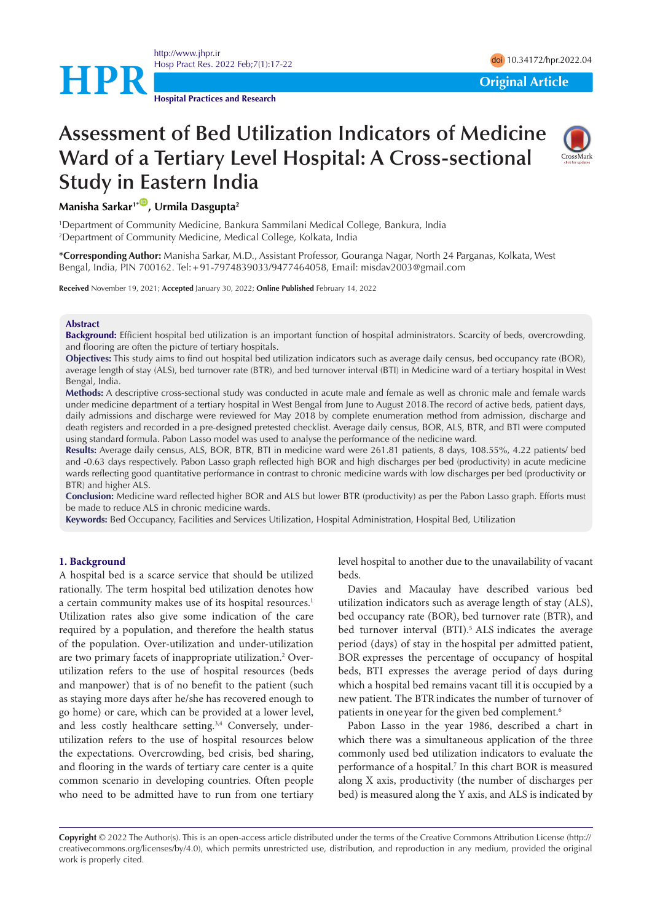<http://www.jhpr.ir> Hosp Pract Res. 2022 Feb;7(1):17-22 doi [10.34172/hpr.2022.04](https://doi.org/10.34172/hpr.2022.04)

**Hospital Practices and Research**

**HPR**<br> **Original Article** 

# **Assessment of Bed Utilization Indicators of Medicine Ward of a Tertiary Level Hospital: A Cross-sectional Study in Eastern India**



# **Manisha Sarkar<sup>1\*</sup>, Urmila Dasgupta<sup>2</sup>**

1 Department of Community Medicine, Bankura Sammilani Medical College, Bankura, India 2 Department of Community Medicine, Medical College, Kolkata, India

**\*Corresponding Author:** Manisha Sarkar, M.D., Assistant Professor, Gouranga Nagar, North 24 Parganas, Kolkata, West Bengal, India, PIN 700162. Tel:+91-7974839033/9477464058, Email: [misdav2003@gmail.com](mailto:misdav2003@gmail.com)

**Received** November 19, 2021; **Accepted** January 30, 2022; **Online Published** February 14, 2022

#### **Abstract**

**Background:** Efficient hospital bed utilization is an important function of hospital administrators. Scarcity of beds, overcrowding, and flooring are often the picture of tertiary hospitals.

**Objectives:** This study aims to find out hospital bed utilization indicators such as average daily census, bed occupancy rate (BOR), average length of stay (ALS), bed turnover rate (BTR), and bed turnover interval (BTI) in Medicine ward of a tertiary hospital in West Bengal, India.

**Methods:** A descriptive cross-sectional study was conducted in acute male and female as well as chronic male and female wards under medicine department of a tertiary hospital in West Bengal from June to August 2018.The record of active beds, patient days, daily admissions and discharge were reviewed for May 2018 by complete enumeration method from admission, discharge and death registers and recorded in a pre-designed pretested checklist. Average daily census, BOR, ALS, BTR, and BTI were computed using standard formula. Pabon Lasso model was used to analyse the performance of the nedicine ward.

**Results:** Average daily census, ALS, BOR, BTR, BTI in medicine ward were 261.81 patients, 8 days, 108.55%, 4.22 patients/ bed and -0.63 days respectively. Pabon Lasso graph reflected high BOR and high discharges per bed (productivity) in acute medicine wards reflecting good quantitative performance in contrast to chronic medicine wards with low discharges per bed (productivity or BTR) and higher ALS.

**Conclusion:** Medicine ward reflected higher BOR and ALS but lower BTR (productivity) as per the Pabon Lasso graph. Efforts must be made to reduce ALS in chronic medicine wards.

**Keywords:** Bed Occupancy, Facilities and Services Utilization, Hospital Administration, Hospital Bed, Utilization

#### **1. Background**

A hospital bed is a scarce service that should be utilized rationally. The term hospital bed utilization denotes how a certain community makes use of its hospital resources.<sup>1</sup> Utilization rates also give some indication of the care required by a population, and therefore the health status of the population. Over-utilization and under-utilization are two primary facets of inappropriate utilization.<sup>2</sup> Overutilization refers to the use of hospital resources (beds and manpower) that is of no benefit to the patient (such as staying more days after he/she has recovered enough to go home) or care, which can be provided at a lower level, and less costly healthcare setting.<sup>3,4</sup> Conversely, underutilization refers to the use of hospital resources below the expectations. Overcrowding, bed crisis, bed sharing, and flooring in the wards of tertiary care center is a quite common scenario in developing countries. Often people who need to be admitted have to run from one tertiary level hospital to another due to the unavailability of vacant beds.

Davies and Macaulay have described various bed utilization indicators such as average length of stay (ALS), bed occupancy rate (BOR), bed turnover rate (BTR), and bed turnover interval (BTI).<sup>5</sup> ALS indicates the average period (days) of stay in the hospital per admitted patient, BOR expresses the percentage of occupancy of hospital beds, BTI expresses the average period of days during which a hospital bed remains vacant till it is occupied by a new patient. The BTRindicates the number of turnover of patients in one year for the given bed complement.<sup>6</sup>

Pabon Lasso in the year 1986, described a chart in which there was a simultaneous application of the three commonly used bed utilization indicators to evaluate the performance of a hospital.7 In this chart BOR is measured along X axis, productivity (the number of discharges per bed) is measured along the Y axis, and ALS is indicated by

**Copyright** © 2022 The Author(s). This is an open-access article distributed under the terms of the Creative Commons Attribution License (http:// creativecommons.org/licenses/by/4.0), which permits unrestricted use, distribution, and reproduction in any medium, provided the original work is properly cited.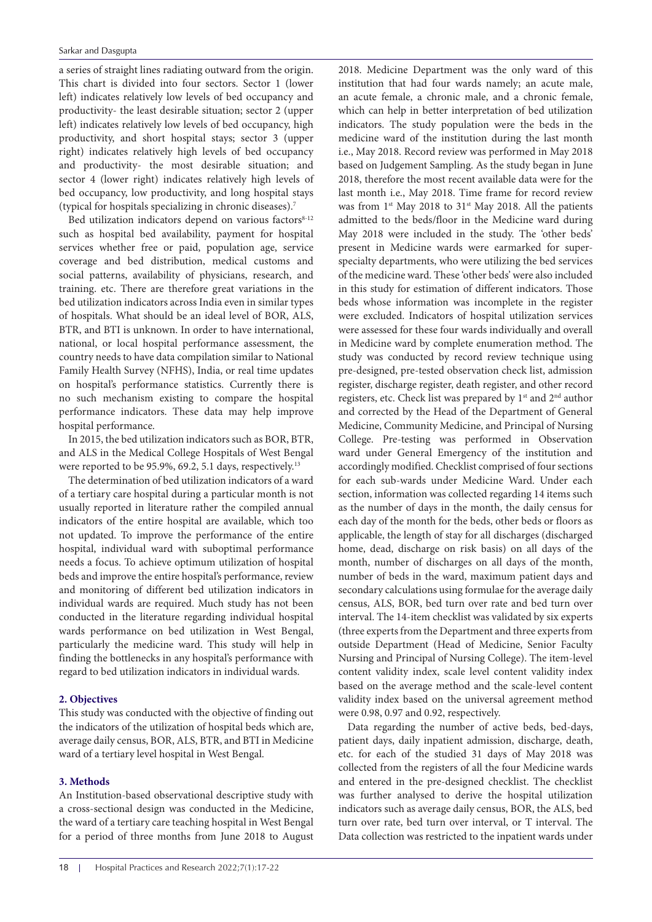#### Sarkar and Dasgupta

a series of straight lines radiating outward from the origin. This chart is divided into four sectors. Sector 1 (lower left) indicates relatively low levels of bed occupancy and productivity- the least desirable situation; sector 2 (upper left) indicates relatively low levels of bed occupancy, high productivity, and short hospital stays; sector 3 (upper right) indicates relatively high levels of bed occupancy and productivity- the most desirable situation; and sector 4 (lower right) indicates relatively high levels of bed occupancy, low productivity, and long hospital stays (typical for hospitals specializing in chronic diseases).7

Bed utilization indicators depend on various factors<sup>8-12</sup> such as hospital bed availability, payment for hospital services whether free or paid, population age, service coverage and bed distribution, medical customs and social patterns, availability of physicians, research, and training. etc. There are therefore great variations in the bed utilization indicators across India even in similar types of hospitals. What should be an ideal level of BOR, ALS, BTR, and BTI is unknown. In order to have international, national, or local hospital performance assessment, the country needs to have data compilation similar to National Family Health Survey (NFHS), India, or real time updates on hospital's performance statistics. Currently there is no such mechanism existing to compare the hospital performance indicators. These data may help improve hospital performance.

In 2015, the bed utilization indicators such as BOR, BTR, and ALS in the Medical College Hospitals of West Bengal were reported to be 95.9%, 69.2, 5.1 days, respectively.<sup>13</sup>

The determination of bed utilization indicators of a ward of a tertiary care hospital during a particular month is not usually reported in literature rather the compiled annual indicators of the entire hospital are available, which too not updated. To improve the performance of the entire hospital, individual ward with suboptimal performance needs a focus. To achieve optimum utilization of hospital beds and improve the entire hospital's performance, review and monitoring of different bed utilization indicators in individual wards are required. Much study has not been conducted in the literature regarding individual hospital wards performance on bed utilization in West Bengal, particularly the medicine ward. This study will help in finding the bottlenecks in any hospital's performance with regard to bed utilization indicators in individual wards.

## **2. Objectives**

This study was conducted with the objective of finding out the indicators of the utilization of hospital beds which are, average daily census, BOR, ALS, BTR, and BTI in Medicine ward of a tertiary level hospital in West Bengal.

## **3. Methods**

An Institution-based observational descriptive study with a cross-sectional design was conducted in the Medicine, the ward of a tertiary care teaching hospital in West Bengal for a period of three months from June 2018 to August

2018. Medicine Department was the only ward of this institution that had four wards namely; an acute male, an acute female, a chronic male, and a chronic female, which can help in better interpretation of bed utilization indicators. The study population were the beds in the medicine ward of the institution during the last month i.e., May 2018. Record review was performed in May 2018 based on Judgement Sampling. As the study began in June 2018, therefore the most recent available data were for the last month i.e., May 2018. Time frame for record review was from 1<sup>st</sup> May 2018 to 31<sup>st</sup> May 2018. All the patients admitted to the beds/floor in the Medicine ward during May 2018 were included in the study. The 'other beds' present in Medicine wards were earmarked for superspecialty departments, who were utilizing the bed services of the medicine ward. These 'other beds' were also included in this study for estimation of different indicators. Those beds whose information was incomplete in the register were excluded. Indicators of hospital utilization services were assessed for these four wards individually and overall in Medicine ward by complete enumeration method. The study was conducted by record review technique using pre-designed, pre-tested observation check list, admission register, discharge register, death register, and other record registers, etc. Check list was prepared by 1<sup>st</sup> and 2<sup>nd</sup> author and corrected by the Head of the Department of General Medicine, Community Medicine, and Principal of Nursing College. Pre-testing was performed in Observation ward under General Emergency of the institution and accordingly modified. Checklist comprised of four sections for each sub-wards under Medicine Ward. Under each section, information was collected regarding 14 items such as the number of days in the month, the daily census for each day of the month for the beds, other beds or floors as applicable, the length of stay for all discharges (discharged home, dead, discharge on risk basis) on all days of the month, number of discharges on all days of the month, number of beds in the ward, maximum patient days and secondary calculations using formulae for the average daily census, ALS, BOR, bed turn over rate and bed turn over interval. The 14-item checklist was validated by six experts (three experts from the Department and three experts from outside Department (Head of Medicine, Senior Faculty Nursing and Principal of Nursing College). The item-level content validity index, scale level content validity index based on the average method and the scale-level content validity index based on the universal agreement method were 0.98, 0.97 and 0.92, respectively.

Data regarding the number of active beds, bed-days, patient days, daily inpatient admission, discharge, death, etc. for each of the studied 31 days of May 2018 was collected from the registers of all the four Medicine wards and entered in the pre-designed checklist. The checklist was further analysed to derive the hospital utilization indicators such as average daily census, BOR, the ALS, bed turn over rate, bed turn over interval, or T interval. The Data collection was restricted to the inpatient wards under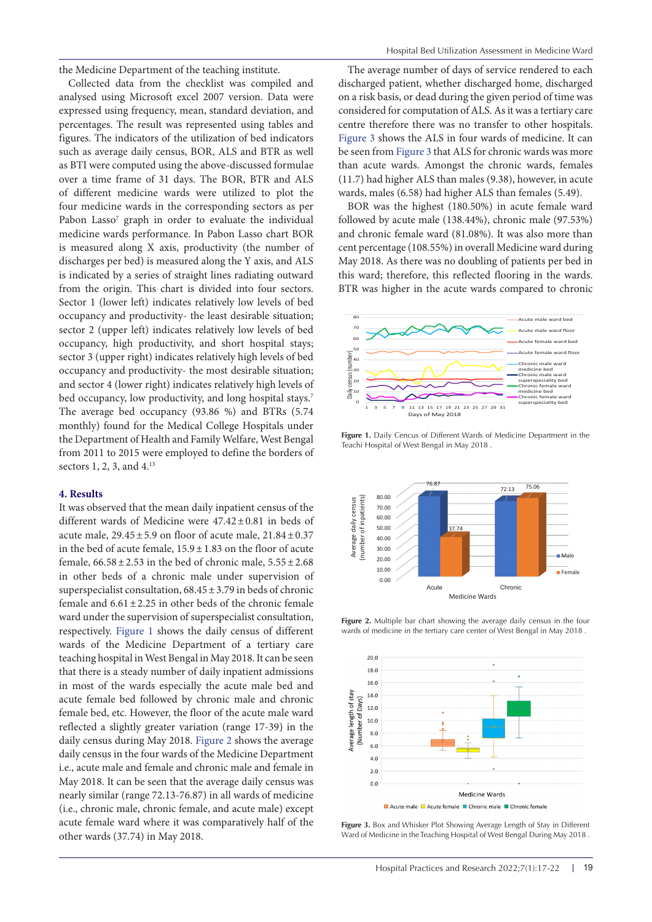the Medicine Department of the teaching institute.

Collected data from the checklist was compiled and analysed using Microsoft excel 2007 version. Data were expressed using frequency, mean, standard deviation, and percentages. The result was represented using tables and figures. The indicators of the utilization of bed indicators such as average daily census, BOR, ALS and BTR as well as BTI were computed using the above-discussed formulae over a time frame of 31 days. The BOR, BTR and ALS of different medicine wards were utilized to plot the four medicine wards in the corresponding sectors as per Pabon Lasso<sup>7</sup> graph in order to evaluate the individual medicine wards performance. In Pabon Lasso chart BOR is measured along X axis, productivity (the number of discharges per bed) is measured along the Y axis, and ALS is indicated by a series of straight lines radiating outward from the origin. This chart is divided into four sectors. Sector 1 (lower left) indicates relatively low levels of bed occupancy and productivity- the least desirable situation; sector 2 (upper left) indicates relatively low levels of bed occupancy, high productivity, and short hospital stays; sector 3 (upper right) indicates relatively high levels of bed occupancy and productivity- the most desirable situation; and sector 4 (lower right) indicates relatively high levels of bed occupancy, low productivity, and long hospital stays.<sup>7</sup> The average bed occupancy (93.86 %) and BTRs (5.74 monthly) found for the Medical College Hospitals under the Department of Health and Family Welfare, West Bengal from 2011 to 2015 were employed to define the borders of sectors 1, 2, 3, and 4.13

#### **4. Results**

It was observed that the mean daily inpatient census of the different wards of Medicine were 47.42±0.81 in beds of acute male,  $29.45 \pm 5.9$  on floor of acute male,  $21.84 \pm 0.37$ in the bed of acute female, 15.9±1.83 on the floor of acute female,  $66.58 \pm 2.53$  in the bed of chronic male,  $5.55 \pm 2.68$ in other beds of a chronic male under supervision of superspecialist consultation,  $68.45 \pm 3.79$  in beds of chronic female and  $6.61 \pm 2.25$  in other beds of the chronic female ward under the supervision of superspecialist consultation, respectively. [Figure 1](#page-2-0) shows the daily census of different wards of the Medicine Department of a tertiary care teaching hospital in West Bengal in May 2018. It can be seen that there is a steady number of daily inpatient admissions in most of the wards especially the acute male bed and acute female bed followed by chronic male and chronic female bed, etc. However, the floor of the acute male ward reflected a slightly greater variation (range 17-39) in the daily census during May 2018. [Figure 2](#page-2-1) shows the average daily census in the four wards of the Medicine Department i.e., acute male and female and chronic male and female in May 2018. It can be seen that the average daily census was nearly similar (range 72.13-76.87) in all wards of medicine (i.e., chronic male, chronic female, and acute male) except acute female ward where it was comparatively half of the other wards (37.74) in May 2018.

The average number of days of service rendered to each discharged patient, whether discharged home, discharged on a risk basis, or dead during the given period of time was considered for computation of ALS. As it was a tertiary care centre therefore there was no transfer to other hospitals. [Figure 3](#page-2-2) shows the ALS in four wards of medicine. It can be seen from [Figure 3](#page-2-2) that ALS for chronic wards was more than acute wards. Amongst the chronic wards, females (11.7) had higher ALS than males (9.38), however, in acute wards, males (6.58) had higher ALS than females (5.49).

BOR was the highest (180.50%) in acute female ward followed by acute male (138.44%), chronic male (97.53%) and chronic female ward (81.08%). It was also more than cent percentage (108.55%) in overall Medicine ward during May 2018. As there was no doubling of patients per bed in this ward; therefore, this reflected flooring in the wards. BTR was higher in the acute wards compared to chronic

<span id="page-2-0"></span>

<span id="page-2-1"></span>**Figure 1.** Daily Cencus of Different Wards of Medicine Department in the Teachi Hospital of West Bengal in May 2018 .



**Figure 2.** Multiple bar chart showing the average daily census in the four wards of medicine in the tertiary care center of West Bengal in May 2018 .

<span id="page-2-2"></span>

**Figure 3.** Box and Whisker Plot Showing Average Length of Stay in Different Ward of Medicine in the Teaching Hospital of West Bengal During May 2018 .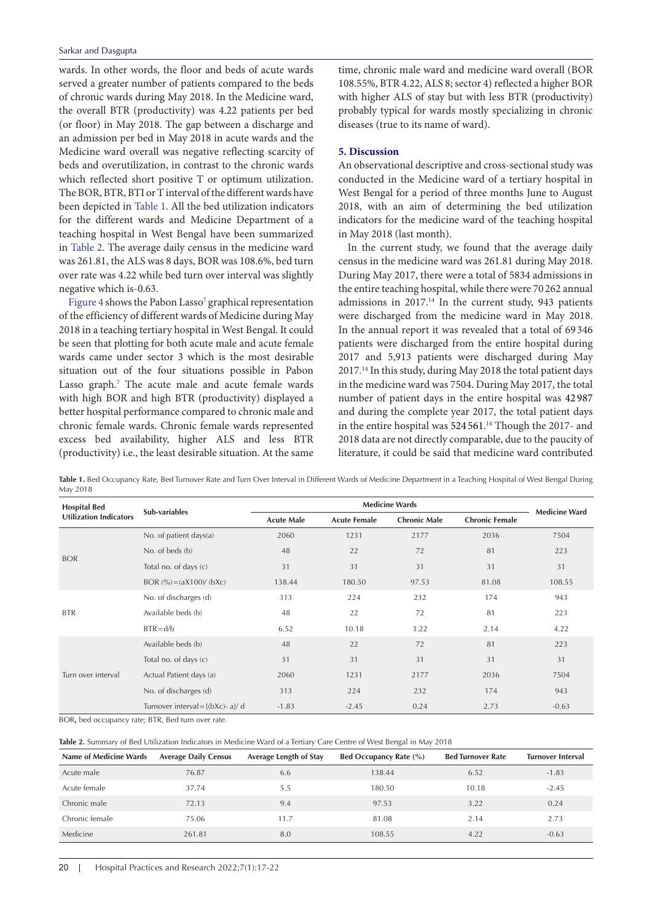wards. In other words, the floor and beds of acute wards served a greater number of patients compared to the beds of chronic wards during May 2018. In the Medicine ward, the overall BTR (productivity) was 4.22 patients per bed (or floor) in May 2018. The gap between a discharge and an admission per bed in May 2018 in acute wards and the Medicine ward overall was negative reflecting scarcity of beds and overutilization, in contrast to the chronic wards which reflected short positive T or optimum utilization. The BOR, BTR, BTI or T interval of the different wards have been depicted in [Table 1](#page-3-0). All the bed utilization indicators for the different wards and Medicine Department of a teaching hospital in West Bengal have been summarized in [Table 2](#page-3-1). The average daily census in the medicine ward was 261.81, the ALS was 8 days, BOR was 108.6%, bed turn over rate was 4.22 while bed turn over interval was slightly negative which is-0.63.

[Figure](#page-4-0) 4 shows the Pabon Lasso<sup>7</sup> graphical representation of the efficiency of different wards of Medicine during May 2018 in a teaching tertiary hospital in West Bengal. It could be seen that plotting for both acute male and acute female wards came under sector 3 which is the most desirable situation out of the four situations possible in Pabon Lasso graph.<sup>7</sup> The acute male and acute female wards with high BOR and high BTR (productivity) displayed a better hospital performance compared to chronic male and chronic female wards. Chronic female wards represented excess bed availability, higher ALS and less BTR (productivity) i.e., the least desirable situation. At the same

time, chronic male ward and medicine ward overall (BOR 108.55%, BTR 4.22, ALS 8; sector 4) reflected a higher BOR with higher ALS of stay but with less BTR (productivity) probably typical for wards mostly specializing in chronic diseases (true to its name of ward).

## **5. Discussion**

An observational descriptive and cross-sectional study was conducted in the Medicine ward of a tertiary hospital in West Bengal for a period of three months June to August 2018, with an aim of determining the bed utilization indicators for the medicine ward of the teaching hospital in May 2018 (last month).

In the current study, we found that the average daily census in the medicine ward was 261.81 during May 2018. During May 2017, there were a total of 5834 admissions in the entire teaching hospital, while there were 70 262 annual admissions in 2017.14 In the current study, 943 patients were discharged from the medicine ward in May 2018. In the annual report it was revealed that a total of 69 346 patients were discharged from the entire hospital during 2017 and 5,913 patients were discharged during May 2017.14 In this study, during May 2018 the total patient days in the medicine ward was 7504. During May 2017, the total number of patient days in the entire hospital was 42 987 and during the complete year 2017, the total patient days in the entire hospital was 524 561. 14 Though the 2017- and 2018 data are not directly comparable, due to the paucity of literature, it could be said that medicine ward contributed

<span id="page-3-0"></span>Table 1. Bed Occupancy Rate, Bed Turnover Rate and Turn Over Interval in Different Wards of Medicine Department in a Teaching Hospital of West Bengal During May 2018

| <b>Hospital Bed</b><br><b>Utilization Indicators</b> | Sub-variables                      | <b>Medicine Wards</b> |                     |                     |                       |                      |
|------------------------------------------------------|------------------------------------|-----------------------|---------------------|---------------------|-----------------------|----------------------|
|                                                      |                                    | <b>Acute Male</b>     | <b>Acute Female</b> | <b>Chronic Male</b> | <b>Chronic Female</b> | <b>Medicine Ward</b> |
| <b>BOR</b>                                           | No. of patient days $(a)$          | 2060                  | 1231                | 2177                | 2036                  | 7504                 |
|                                                      | No. of beds (b)                    | 48                    | 22                  | 72                  | 81                    | 223                  |
|                                                      | Total no. of days (c)              | 31                    | 31                  | 31                  | 31                    | 31                   |
|                                                      | BOR $\frac{9}{6}$ = (aX100)/ (bXc) | 138.44                | 180.50              | 97.53               | 81.08                 | 108.55               |
| <b>BTR</b>                                           | No. of discharges (d)              | 313                   | 224                 | 232                 | 174                   | 943                  |
|                                                      | Available beds (b)                 | 48                    | 22                  | 72                  | 81                    | 223                  |
|                                                      | $BTR = d/b$                        | 6.52                  | 10.18               | 3.22                | 2.14                  | 4.22                 |
| Turn over interval                                   | Available beds (b)                 | 48                    | 22                  | 72                  | 81                    | 223                  |
|                                                      | Total no. of days (c)              | 31                    | 31                  | 31                  | 31                    | 31                   |
|                                                      | Actual Patient days (a)            | 2060                  | 1231                | 2177                | 2036                  | 7504                 |
|                                                      | No. of discharges (d)              | 313                   | 224                 | 232                 | 174                   | 943                  |
|                                                      | Turnover interval = $[(bXc)-a]/d$  | $-1.83$               | $-2.45$             | 0.24                | 2.73                  | $-0.63$              |

BOR**,** bed occupancy rate; BTR, Bed turn over rate.

<span id="page-3-1"></span>**Table 2.** Summary of Bed Utilization Indicators in Medicine Ward of a Tertiary Care Centre of West Bengal in May 2018

| Name of Medicine Wards | <b>Average Daily Census</b> | <b>Average Length of Stay</b> | Bed Occupancy Rate (%) | <b>Bed Turnover Rate</b> | Turnover Interval |
|------------------------|-----------------------------|-------------------------------|------------------------|--------------------------|-------------------|
| Acute male             | 76.87                       | 6.6                           | 138.44                 | 6.52                     | $-1.83$           |
| Acute female           | 37.74                       | 5.5                           | 180.50                 | 10.18                    | $-2.45$           |
| Chronic male           | 72.13                       | 9.4                           | 97.53                  | 3.22                     | 0.24              |
| Chronic female         | 75.06                       | 11.7                          | 81.08                  | 2.14                     | 2.73              |
| Medicine               | 261.81                      | 8.0                           | 108.55                 | 4.22                     | $-0.63$           |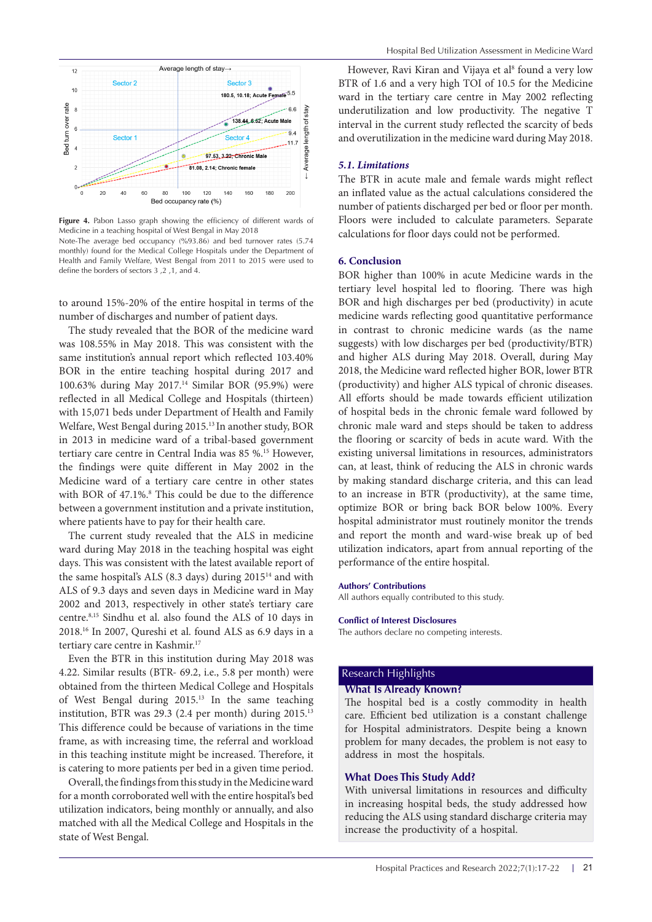

Figure 4. Pabon Lasso graph showing the efficiency of different wards of Medicine in a teaching hospital of West Bengal in May 2018 Note-The average bed occupancy (%93.86) and bed turnover rates (5.74 monthly) found for the Medical College Hospitals under the Department of Health and Family Welfare, West Bengal from 2011 to 2015 were used to define the borders of sectors 3 ,2 ,1, and 4.

to around 15%-20% of the entire hospital in terms of the number of discharges and number of patient days.

The study revealed that the BOR of the medicine ward was 108.55% in May 2018. This was consistent with the same institution's annual report which reflected 103.40% BOR in the entire teaching hospital during 2017 and 100.63% during May 2017.14 Similar BOR (95.9%) were reflected in all Medical College and Hospitals (thirteen) with 15,071 beds under Department of Health and Family Welfare, West Bengal during 2015.13 In another study, BOR in 2013 in medicine ward of a tribal-based government tertiary care centre in Central India was 85 %.15 However, the findings were quite different in May 2002 in the Medicine ward of a tertiary care centre in other states with BOR of 47.1%.<sup>8</sup> This could be due to the difference between a government institution and a private institution, where patients have to pay for their health care.

The current study revealed that the ALS in medicine ward during May 2018 in the teaching hospital was eight days. This was consistent with the latest available report of the same hospital's ALS (8.3 days) during 201514 and with ALS of 9.3 days and seven days in Medicine ward in May 2002 and 2013, respectively in other state's tertiary care centre.8,15 Sindhu et al. also found the ALS of 10 days in 2018.16 In 2007, Qureshi et al. found ALS as 6.9 days in a tertiary care centre in Kashmir.<sup>17</sup>

Even the BTR in this institution during May 2018 was 4.22. Similar results (BTR- 69.2, i.e., 5.8 per month) were obtained from the thirteen Medical College and Hospitals of West Bengal during 2015.13 In the same teaching institution, BTR was 29.3 (2.4 per month) during 2015.13 This difference could be because of variations in the time frame, as with increasing time, the referral and workload in this teaching institute might be increased. Therefore, it is catering to more patients per bed in a given time period.

Overall, the findings from this study in the Medicine ward for a month corroborated well with the entire hospital's bed utilization indicators, being monthly or annually, and also matched with all the Medical College and Hospitals in the state of West Bengal.

<span id="page-4-0"></span>However, Ravi Kiran and Vijaya et al<sup>8</sup> found a very low BTR of 1.6 and a very high TOI of 10.5 for the Medicine ward in the tertiary care centre in May 2002 reflecting underutilization and low productivity. The negative T interval in the current study reflected the scarcity of beds and overutilization in the medicine ward during May 2018.

### *5.1. Limitations*

The BTR in acute male and female wards might reflect an inflated value as the actual calculations considered the number of patients discharged per bed or floor per month. Floors were included to calculate parameters. Separate calculations for floor days could not be performed.

#### **6. Conclusion**

BOR higher than 100% in acute Medicine wards in the tertiary level hospital led to flooring. There was high BOR and high discharges per bed (productivity) in acute medicine wards reflecting good quantitative performance in contrast to chronic medicine wards (as the name suggests) with low discharges per bed (productivity/BTR) and higher ALS during May 2018. Overall, during May 2018, the Medicine ward reflected higher BOR, lower BTR (productivity) and higher ALS typical of chronic diseases. All efforts should be made towards efficient utilization of hospital beds in the chronic female ward followed by chronic male ward and steps should be taken to address the flooring or scarcity of beds in acute ward. With the existing universal limitations in resources, administrators can, at least, think of reducing the ALS in chronic wards by making standard discharge criteria, and this can lead to an increase in BTR (productivity), at the same time, optimize BOR or bring back BOR below 100%. Every hospital administrator must routinely monitor the trends and report the month and ward-wise break up of bed utilization indicators, apart from annual reporting of the performance of the entire hospital.

#### **Authors' Contributions**

All authors equally contributed to this study.

#### **Conflict of Interest Disclosures**

The authors declare no competing interests.

# Research Highlights

# **What Is Already Known?**

The hospital bed is a costly commodity in health care. Efficient bed utilization is a constant challenge for Hospital administrators. Despite being a known problem for many decades, the problem is not easy to address in most the hospitals.

#### **What Does This Study Add?**

With universal limitations in resources and difficulty in increasing hospital beds, the study addressed how reducing the ALS using standard discharge criteria may increase the productivity of a hospital.